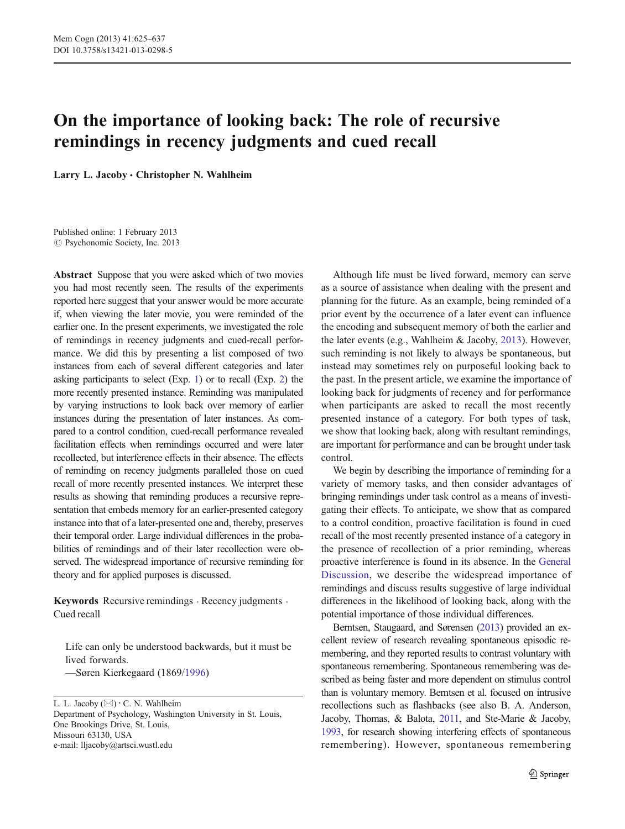# On the importance of looking back: The role of recursive remindings in recency judgments and cued recall

Larry L. Jacoby · Christopher N. Wahlheim

Published online: 1 February 2013  $\odot$  Psychonomic Society, Inc. 2013

Abstract Suppose that you were asked which of two movies you had most recently seen. The results of the experiments reported here suggest that your answer would be more accurate if, when viewing the later movie, you were reminded of the earlier one. In the present experiments, we investigated the role of remindings in recency judgments and cued-recall performance. We did this by presenting a list composed of two instances from each of several different categories and later asking participants to select (Exp. [1\)](#page-3-0) or to recall (Exp. [2\)](#page-5-0) the more recently presented instance. Reminding was manipulated by varying instructions to look back over memory of earlier instances during the presentation of later instances. As compared to a control condition, cued-recall performance revealed facilitation effects when remindings occurred and were later recollected, but interference effects in their absence. The effects of reminding on recency judgments paralleled those on cued recall of more recently presented instances. We interpret these results as showing that reminding produces a recursive representation that embeds memory for an earlier-presented category instance into that of a later-presented one and, thereby, preserves their temporal order. Large individual differences in the probabilities of remindings and of their later recollection were observed. The widespread importance of recursive reminding for theory and for applied purposes is discussed.

Keywords Recursive remindings . Recency judgments . Cued recall

Life can only be understood backwards, but it must be lived forwards.

—Søren Kierkegaard (1869[/1996](#page-12-0))

L. L. Jacoby  $(\boxtimes) \cdot C$ . N. Wahlheim

Department of Psychology, Washington University in St. Louis, One Brookings Drive, St. Louis, Missouri 63130, USA e-mail: lljacoby@artsci.wustl.edu

Although life must be lived forward, memory can serve as a source of assistance when dealing with the present and planning for the future. As an example, being reminded of a prior event by the occurrence of a later event can influence the encoding and subsequent memory of both the earlier and the later events (e.g., Wahlheim & Jacoby, [2013](#page-12-0)). However, such reminding is not likely to always be spontaneous, but instead may sometimes rely on purposeful looking back to the past. In the present article, we examine the importance of looking back for judgments of recency and for performance when participants are asked to recall the most recently presented instance of a category. For both types of task, we show that looking back, along with resultant remindings, are important for performance and can be brought under task control.

We begin by describing the importance of reminding for a variety of memory tasks, and then consider advantages of bringing remindings under task control as a means of investigating their effects. To anticipate, we show that as compared to a control condition, proactive facilitation is found in cued recall of the most recently presented instance of a category in the presence of recollection of a prior reminding, whereas proactive interference is found in its absence. In the [General](#page-9-0) [Discussion](#page-9-0), we describe the widespread importance of remindings and discuss results suggestive of large individual differences in the likelihood of looking back, along with the potential importance of those individual differences.

Berntsen, Staugaard, and Sørensen ([2013\)](#page-12-0) provided an excellent review of research revealing spontaneous episodic remembering, and they reported results to contrast voluntary with spontaneous remembering. Spontaneous remembering was described as being faster and more dependent on stimulus control than is voluntary memory. Berntsen et al. focused on intrusive recollections such as flashbacks (see also B. A. Anderson, Jacoby, Thomas, & Balota, [2011,](#page-12-0) and Ste-Marie & Jacoby, [1993](#page-12-0), for research showing interfering effects of spontaneous remembering). However, spontaneous remembering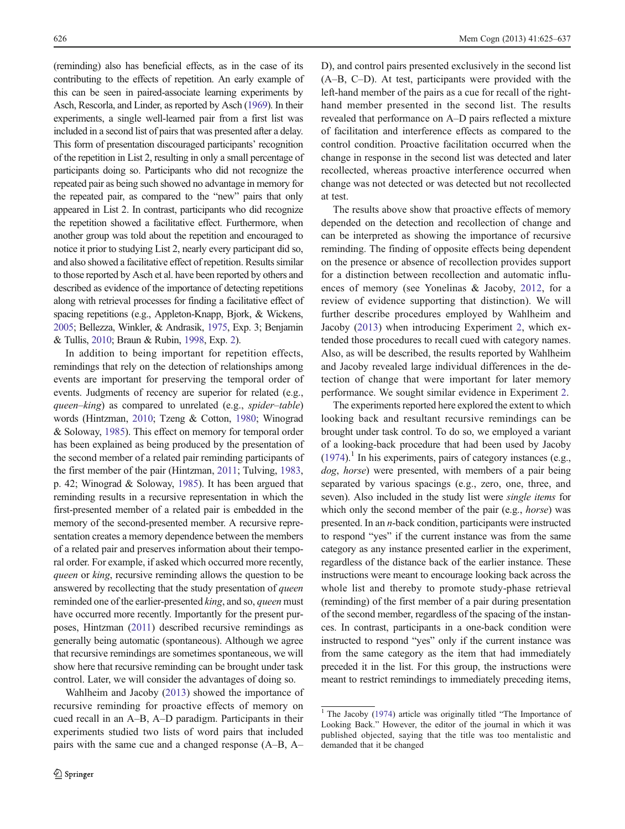(reminding) also has beneficial effects, as in the case of its contributing to the effects of repetition. An early example of this can be seen in paired-associate learning experiments by Asch, Rescorla, and Linder, as reported by Asch [\(1969\)](#page-12-0). In their experiments, a single well-learned pair from a first list was included in a second list of pairs that was presented after a delay. This form of presentation discouraged participants' recognition of the repetition in List 2, resulting in only a small percentage of participants doing so. Participants who did not recognize the repeated pair as being such showed no advantage in memory for the repeated pair, as compared to the "new" pairs that only appeared in List 2. In contrast, participants who did recognize the repetition showed a facilitative effect. Furthermore, when another group was told about the repetition and encouraged to notice it prior to studying List 2, nearly every participant did so, and also showed a facilitative effect of repetition. Results similar to those reported by Asch et al. have been reported by others and described as evidence of the importance of detecting repetitions along with retrieval processes for finding a facilitative effect of spacing repetitions (e.g., Appleton-Knapp, Bjork, & Wickens, [2005](#page-12-0); Bellezza, Winkler, & Andrasik, [1975,](#page-12-0) Exp. 3; Benjamin & Tullis, [2010](#page-12-0); Braun & Rubin, [1998](#page-12-0), Exp. [2](#page-5-0)).

In addition to being important for repetition effects, remindings that rely on the detection of relationships among events are important for preserving the temporal order of events. Judgments of recency are superior for related (e.g., queen–king) as compared to unrelated (e.g., spider–table) words (Hintzman, [2010;](#page-12-0) Tzeng & Cotton, [1980](#page-12-0); Winograd & Soloway, [1985](#page-12-0)). This effect on memory for temporal order has been explained as being produced by the presentation of the second member of a related pair reminding participants of the first member of the pair (Hintzman, [2011](#page-12-0); Tulving, [1983,](#page-12-0) p. 42; Winograd & Soloway, [1985](#page-12-0)). It has been argued that reminding results in a recursive representation in which the first-presented member of a related pair is embedded in the memory of the second-presented member. A recursive representation creates a memory dependence between the members of a related pair and preserves information about their temporal order. For example, if asked which occurred more recently, queen or king, recursive reminding allows the question to be answered by recollecting that the study presentation of queen reminded one of the earlier-presented king, and so, queen must have occurred more recently. Importantly for the present purposes, Hintzman [\(2011\)](#page-12-0) described recursive remindings as generally being automatic (spontaneous). Although we agree that recursive remindings are sometimes spontaneous, we will show here that recursive reminding can be brought under task control. Later, we will consider the advantages of doing so.

Wahlheim and Jacoby ([2013\)](#page-12-0) showed the importance of recursive reminding for proactive effects of memory on cued recall in an A–B, A–D paradigm. Participants in their experiments studied two lists of word pairs that included pairs with the same cue and a changed response (A–B, A–

D), and control pairs presented exclusively in the second list (A–B, C–D). At test, participants were provided with the left-hand member of the pairs as a cue for recall of the righthand member presented in the second list. The results revealed that performance on A–D pairs reflected a mixture of facilitation and interference effects as compared to the control condition. Proactive facilitation occurred when the change in response in the second list was detected and later recollected, whereas proactive interference occurred when change was not detected or was detected but not recollected at test.

The results above show that proactive effects of memory depended on the detection and recollection of change and can be interpreted as showing the importance of recursive reminding. The finding of opposite effects being dependent on the presence or absence of recollection provides support for a distinction between recollection and automatic influences of memory (see Yonelinas & Jacoby, [2012](#page-12-0), for a review of evidence supporting that distinction). We will further describe procedures employed by Wahlheim and Jacoby ([2013\)](#page-12-0) when introducing Experiment [2](#page-5-0), which extended those procedures to recall cued with category names. Also, as will be described, the results reported by Wahlheim and Jacoby revealed large individual differences in the detection of change that were important for later memory performance. We sought similar evidence in Experiment [2](#page-5-0).

The experiments reported here explored the extent to which looking back and resultant recursive remindings can be brought under task control. To do so, we employed a variant of a looking-back procedure that had been used by Jacoby  $(1974)$ .<sup>1</sup> In his experiments, pairs of category instances (e.g., dog, horse) were presented, with members of a pair being separated by various spacings (e.g., zero, one, three, and seven). Also included in the study list were single items for which only the second member of the pair (e.g., *horse*) was presented. In an n-back condition, participants were instructed to respond "yes" if the current instance was from the same category as any instance presented earlier in the experiment, regardless of the distance back of the earlier instance. These instructions were meant to encourage looking back across the whole list and thereby to promote study-phase retrieval (reminding) of the first member of a pair during presentation of the second member, regardless of the spacing of the instances. In contrast, participants in a one-back condition were instructed to respond "yes" only if the current instance was from the same category as the item that had immediately preceded it in the list. For this group, the instructions were meant to restrict remindings to immediately preceding items,

 $1$  The Jacoby [\(1974](#page-12-0)) article was originally titled "The Importance of Looking Back." However, the editor of the journal in which it was published objected, saying that the title was too mentalistic and demanded that it be changed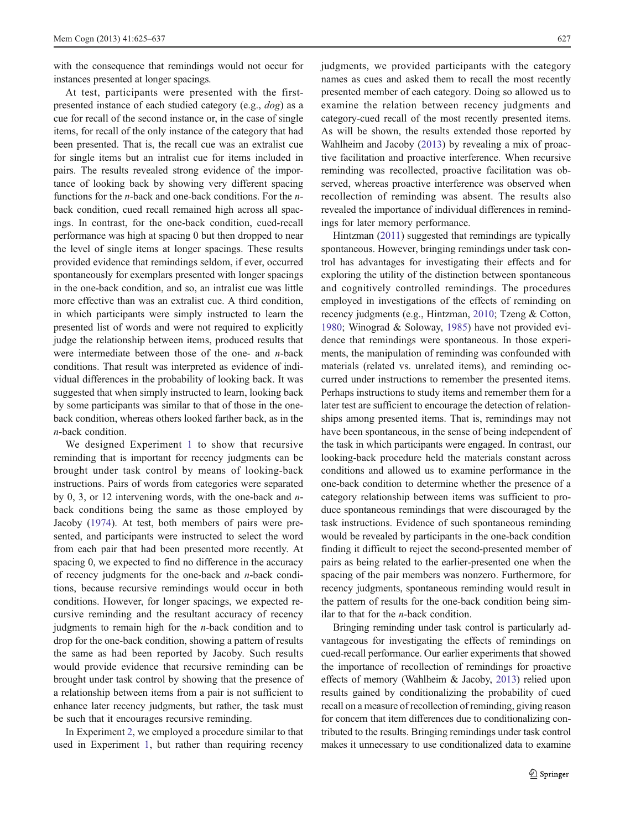with the consequence that remindings would not occur for instances presented at longer spacings.

At test, participants were presented with the firstpresented instance of each studied category (e.g., dog) as a cue for recall of the second instance or, in the case of single items, for recall of the only instance of the category that had been presented. That is, the recall cue was an extralist cue for single items but an intralist cue for items included in pairs. The results revealed strong evidence of the importance of looking back by showing very different spacing functions for the *n*-back and one-back conditions. For the *n*back condition, cued recall remained high across all spacings. In contrast, for the one-back condition, cued-recall performance was high at spacing 0 but then dropped to near the level of single items at longer spacings. These results provided evidence that remindings seldom, if ever, occurred spontaneously for exemplars presented with longer spacings in the one-back condition, and so, an intralist cue was little more effective than was an extralist cue. A third condition, in which participants were simply instructed to learn the presented list of words and were not required to explicitly judge the relationship between items, produced results that were intermediate between those of the one- and  $n$ -back conditions. That result was interpreted as evidence of individual differences in the probability of looking back. It was suggested that when simply instructed to learn, looking back by some participants was similar to that of those in the oneback condition, whereas others looked farther back, as in the n-back condition.

We designed Experiment [1](#page-3-0) to show that recursive reminding that is important for recency judgments can be brought under task control by means of looking-back instructions. Pairs of words from categories were separated by 0, 3, or 12 intervening words, with the one-back and  $n$ back conditions being the same as those employed by Jacoby [\(1974](#page-12-0)). At test, both members of pairs were presented, and participants were instructed to select the word from each pair that had been presented more recently. At spacing 0, we expected to find no difference in the accuracy of recency judgments for the one-back and  $n$ -back conditions, because recursive remindings would occur in both conditions. However, for longer spacings, we expected recursive reminding and the resultant accuracy of recency judgments to remain high for the  $n$ -back condition and to drop for the one-back condition, showing a pattern of results the same as had been reported by Jacoby. Such results would provide evidence that recursive reminding can be brought under task control by showing that the presence of a relationship between items from a pair is not sufficient to enhance later recency judgments, but rather, the task must be such that it encourages recursive reminding.

In Experiment [2](#page-5-0), we employed a procedure similar to that used in Experiment [1,](#page-3-0) but rather than requiring recency judgments, we provided participants with the category names as cues and asked them to recall the most recently presented member of each category. Doing so allowed us to examine the relation between recency judgments and category-cued recall of the most recently presented items. As will be shown, the results extended those reported by Wahlheim and Jacoby ([2013\)](#page-12-0) by revealing a mix of proactive facilitation and proactive interference. When recursive reminding was recollected, proactive facilitation was observed, whereas proactive interference was observed when recollection of reminding was absent. The results also revealed the importance of individual differences in remindings for later memory performance.

Hintzman [\(2011](#page-12-0)) suggested that remindings are typically spontaneous. However, bringing remindings under task control has advantages for investigating their effects and for exploring the utility of the distinction between spontaneous and cognitively controlled remindings. The procedures employed in investigations of the effects of reminding on recency judgments (e.g., Hintzman, [2010](#page-12-0); Tzeng & Cotton, [1980](#page-12-0); Winograd & Soloway, [1985\)](#page-12-0) have not provided evidence that remindings were spontaneous. In those experiments, the manipulation of reminding was confounded with materials (related vs. unrelated items), and reminding occurred under instructions to remember the presented items. Perhaps instructions to study items and remember them for a later test are sufficient to encourage the detection of relationships among presented items. That is, remindings may not have been spontaneous, in the sense of being independent of the task in which participants were engaged. In contrast, our looking-back procedure held the materials constant across conditions and allowed us to examine performance in the one-back condition to determine whether the presence of a category relationship between items was sufficient to produce spontaneous remindings that were discouraged by the task instructions. Evidence of such spontaneous reminding would be revealed by participants in the one-back condition finding it difficult to reject the second-presented member of pairs as being related to the earlier-presented one when the spacing of the pair members was nonzero. Furthermore, for recency judgments, spontaneous reminding would result in the pattern of results for the one-back condition being similar to that for the n-back condition.

Bringing reminding under task control is particularly advantageous for investigating the effects of remindings on cued-recall performance. Our earlier experiments that showed the importance of recollection of remindings for proactive effects of memory (Wahlheim & Jacoby, [2013](#page-12-0)) relied upon results gained by conditionalizing the probability of cued recall on a measure of recollection of reminding, giving reason for concern that item differences due to conditionalizing contributed to the results. Bringing remindings under task control makes it unnecessary to use conditionalized data to examine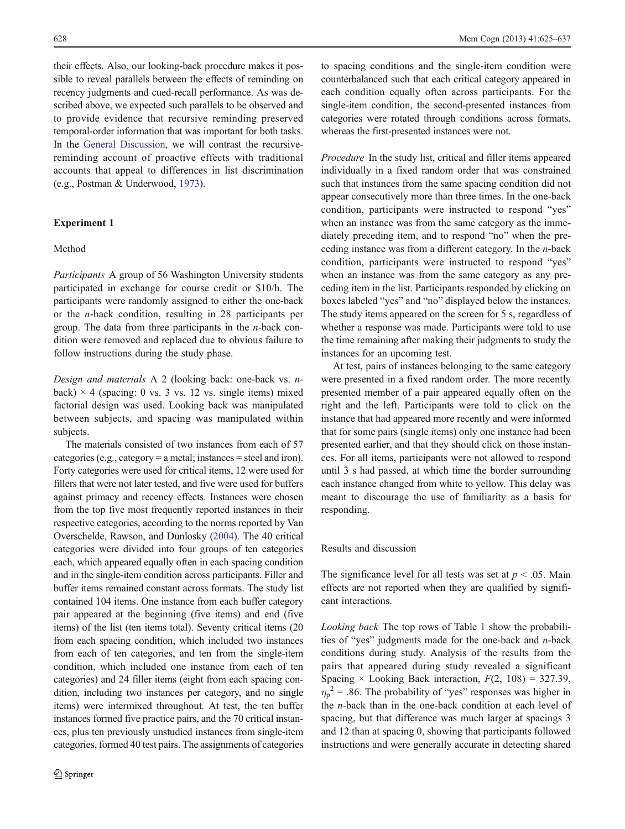<span id="page-3-0"></span>their effects. Also, our looking-back procedure makes it possible to reveal parallels between the effects of reminding on recency judgments and cued-recall performance. As was described above, we expected such parallels to be observed and to provide evidence that recursive reminding preserved temporal-order information that was important for both tasks. In the [General Discussion](#page-9-0), we will contrast the recursivereminding account of proactive effects with traditional accounts that appeal to differences in list discrimination (e.g., Postman & Underwood, [1973](#page-12-0)).

## Experiment 1

#### Method

Participants A group of 56 Washington University students participated in exchange for course credit or \$10/h. The participants were randomly assigned to either the one-back or the n-back condition, resulting in 28 participants per group. The data from three participants in the  $n$ -back condition were removed and replaced due to obvious failure to follow instructions during the study phase.

Design and materials A 2 (looking back: one-back vs. nback)  $\times$  4 (spacing: 0 vs. 3 vs. 12 vs. single items) mixed factorial design was used. Looking back was manipulated between subjects, and spacing was manipulated within subjects.

The materials consisted of two instances from each of 57 categories (e.g., category = a metal; instances = steel and iron). Forty categories were used for critical items, 12 were used for fillers that were not later tested, and five were used for buffers against primacy and recency effects. Instances were chosen from the top five most frequently reported instances in their respective categories, according to the norms reported by Van Overschelde, Rawson, and Dunlosky [\(2004\)](#page-12-0). The 40 critical categories were divided into four groups of ten categories each, which appeared equally often in each spacing condition and in the single-item condition across participants. Filler and buffer items remained constant across formats. The study list contained 104 items. One instance from each buffer category pair appeared at the beginning (five items) and end (five items) of the list (ten items total). Seventy critical items (20 from each spacing condition, which included two instances from each of ten categories, and ten from the single-item condition, which included one instance from each of ten categories) and 24 filler items (eight from each spacing condition, including two instances per category, and no single items) were intermixed throughout. At test, the ten buffer instances formed five practice pairs, and the 70 critical instances, plus ten previously unstudied instances from single-item categories, formed 40 test pairs. The assignments of categories

to spacing conditions and the single-item condition were counterbalanced such that each critical category appeared in each condition equally often across participants. For the single-item condition, the second-presented instances from categories were rotated through conditions across formats, whereas the first-presented instances were not.

Procedure In the study list, critical and filler items appeared individually in a fixed random order that was constrained such that instances from the same spacing condition did not appear consecutively more than three times. In the one-back condition, participants were instructed to respond "yes" when an instance was from the same category as the immediately preceding item, and to respond "no" when the preceding instance was from a different category. In the  $n$ -back condition, participants were instructed to respond "yes" when an instance was from the same category as any preceding item in the list. Participants responded by clicking on boxes labeled "yes" and "no" displayed below the instances. The study items appeared on the screen for 5 s, regardless of whether a response was made. Participants were told to use the time remaining after making their judgments to study the instances for an upcoming test.

At test, pairs of instances belonging to the same category were presented in a fixed random order. The more recently presented member of a pair appeared equally often on the right and the left. Participants were told to click on the instance that had appeared more recently and were informed that for some pairs (single items) only one instance had been presented earlier, and that they should click on those instances. For all items, participants were not allowed to respond until 3 s had passed, at which time the border surrounding each instance changed from white to yellow. This delay was meant to discourage the use of familiarity as a basis for responding.

# Results and discussion

The significance level for all tests was set at  $p < .05$ . Main effects are not reported when they are qualified by significant interactions.

Looking back The top rows of Table [1](#page-4-0) show the probabilities of "yes" judgments made for the one-back and n-back conditions during study. Analysis of the results from the pairs that appeared during study revealed a significant Spacing  $\times$  Looking Back interaction,  $F(2, 108) = 327.39$ ,  $\eta_p^2$  = .86. The probability of "yes" responses was higher in the n-back than in the one-back condition at each level of spacing, but that difference was much larger at spacings 3 and 12 than at spacing 0, showing that participants followed instructions and were generally accurate in detecting shared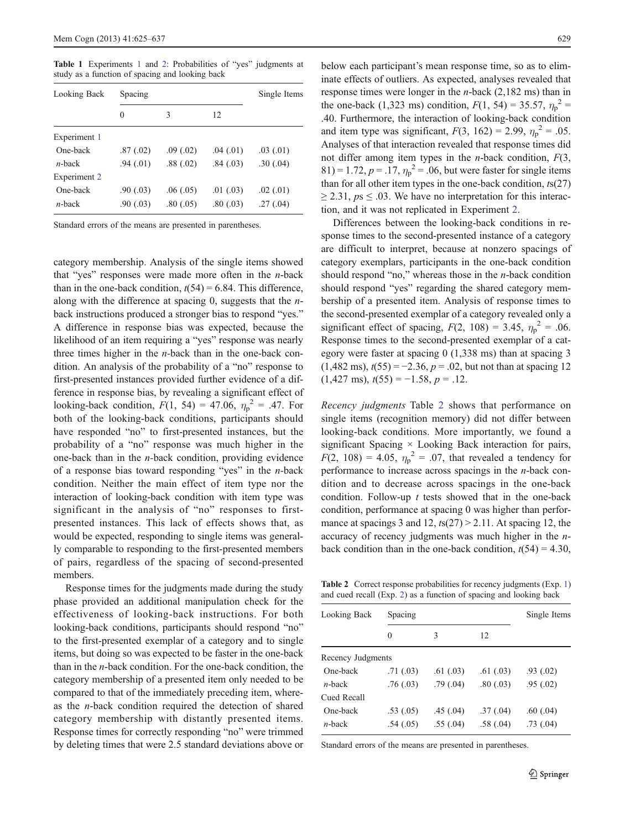<span id="page-4-0"></span>Table 1 Experiments [1](#page-3-0) and [2:](#page-5-0) Probabilities of "yes" judgments at study as a function of spacing and looking back

| Looking Back | Spacing   | Single Items |           |           |
|--------------|-----------|--------------|-----------|-----------|
|              | $\theta$  | 3            | 12        |           |
| Experiment 1 |           |              |           |           |
| One-back     | .87(.02)  | .09(.02)     | .04(01)   | .03(0.01) |
| $n$ -back    | .94(01)   | .88(.02)     | .84(0.03) | .30(.04)  |
| Experiment 2 |           |              |           |           |
| One-back     | .90(0.03) | .06(.05)     | .01(0.03) | .02(0.01) |
| $n$ -back    | .90(0.03) | .80(0.05)    | .80(0.03) | .27(0.04) |

Standard errors of the means are presented in parentheses.

category membership. Analysis of the single items showed that "yes" responses were made more often in the  $n$ -back than in the one-back condition,  $t(54) = 6.84$ . This difference, along with the difference at spacing 0, suggests that the  $n$ back instructions produced a stronger bias to respond "yes." A difference in response bias was expected, because the likelihood of an item requiring a "yes" response was nearly three times higher in the n-back than in the one-back condition. An analysis of the probability of a "no" response to first-presented instances provided further evidence of a difference in response bias, by revealing a significant effect of looking-back condition,  $F(1, 54) = 47.06$ ,  $\eta_p^2 = .47$ . For both of the looking-back conditions, participants should have responded "no" to first-presented instances, but the probability of a "no" response was much higher in the one-back than in the n-back condition, providing evidence of a response bias toward responding "yes" in the  $n$ -back condition. Neither the main effect of item type nor the interaction of looking-back condition with item type was significant in the analysis of "no" responses to firstpresented instances. This lack of effects shows that, as would be expected, responding to single items was generally comparable to responding to the first-presented members of pairs, regardless of the spacing of second-presented members.

Response times for the judgments made during the study phase provided an additional manipulation check for the effectiveness of looking-back instructions. For both looking-back conditions, participants should respond "no" to the first-presented exemplar of a category and to single items, but doing so was expected to be faster in the one-back than in the  $n$ -back condition. For the one-back condition, the category membership of a presented item only needed to be compared to that of the immediately preceding item, whereas the n-back condition required the detection of shared category membership with distantly presented items. Response times for correctly responding "no" were trimmed by deleting times that were 2.5 standard deviations above or

below each participant's mean response time, so as to eliminate effects of outliers. As expected, analyses revealed that response times were longer in the n-back (2,182 ms) than in the one-back (1,323 ms) condition,  $F(1, 54) = 35.57$ ,  $\eta_p^2 =$ .40. Furthermore, the interaction of looking-back condition and item type was significant,  $F(3, 162) = 2.99, \eta_p^2 = .05$ . Analyses of that interaction revealed that response times did not differ among item types in the *n*-back condition,  $F(3)$ , 81) = 1.72,  $p = .17$ ,  $\eta_p^2 = .06$ , but were faster for single items than for all other item types in the one-back condition,  $ts(27)$  $\geq$  2.31,  $ps \leq 0.03$ . We have no interpretation for this interaction, and it was not replicated in Experiment [2](#page-5-0).

Differences between the looking-back conditions in response times to the second-presented instance of a category are difficult to interpret, because at nonzero spacings of category exemplars, participants in the one-back condition should respond "no," whereas those in the n-back condition should respond "yes" regarding the shared category membership of a presented item. Analysis of response times to the second-presented exemplar of a category revealed only a significant effect of spacing,  $F(2, 108) = 3.45$ ,  $\eta_p^2 = .06$ . Response times to the second-presented exemplar of a category were faster at spacing 0 (1,338 ms) than at spacing 3  $(1,482 \text{ ms})$ ,  $t(55) = -2.36$ ,  $p = .02$ , but not than at spacing 12  $(1,427 \text{ ms}), t(55) = -1.58, p = .12.$ 

Recency judgments Table 2 shows that performance on single items (recognition memory) did not differ between looking-back conditions. More importantly, we found a significant Spacing  $\times$  Looking Back interaction for pairs,  $F(2, 108) = 4.05$ ,  $\eta_p^2 = .07$ , that revealed a tendency for performance to increase across spacings in the n-back condition and to decrease across spacings in the one-back condition. Follow-up  $t$  tests showed that in the one-back condition, performance at spacing 0 was higher than performance at spacings 3 and 12,  $ts(27) > 2.11$ . At spacing 12, the accuracy of recency judgments was much higher in the nback condition than in the one-back condition,  $t(54) = 4.30$ ,

Table 2 Correct response probabilities for recency judgments (Exp. [1\)](#page-3-0) and cued recall (Exp. [2](#page-5-0)) as a function of spacing and looking back

| Looking Back      | Spacing   | Single Items |           |           |  |
|-------------------|-----------|--------------|-----------|-----------|--|
|                   | $\theta$  | 3            | 12        |           |  |
| Recency Judgments |           |              |           |           |  |
| One-back          | .71(0.03) | .61(.03)     | .61(0.03) | .93(0.02) |  |
| <i>n</i> -back    | .76(.03)  | .79(0.04)    | .80(0.03) | .95(.02)  |  |
| Cued Recall       |           |              |           |           |  |
| One-back          | .53(0.05) | .45(.04)     | .37(0.04) | .60(0.04) |  |
| $n$ -back         | .54(.05)  | .55(.04)     | .58(.04)  | .73(0.04) |  |

Standard errors of the means are presented in parentheses.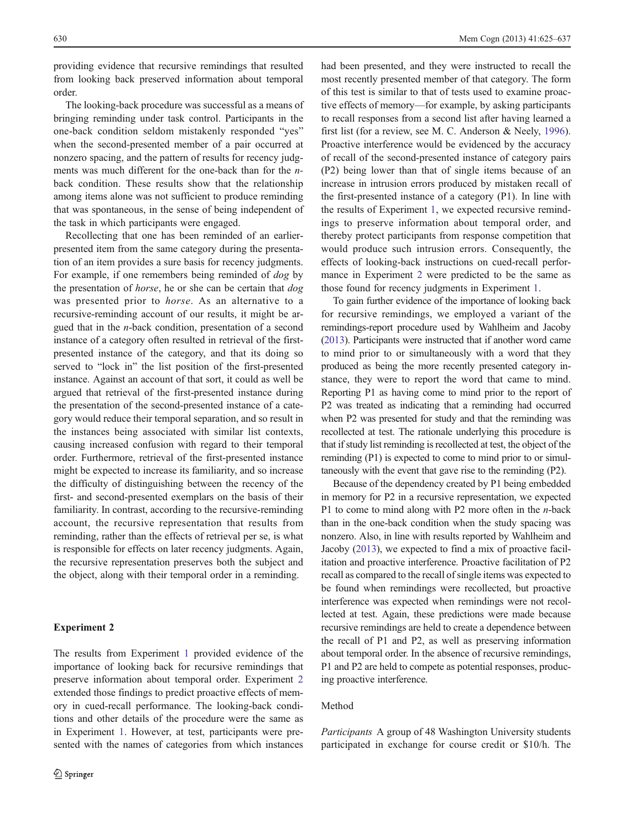<span id="page-5-0"></span>providing evidence that recursive remindings that resulted from looking back preserved information about temporal order.

The looking-back procedure was successful as a means of bringing reminding under task control. Participants in the one-back condition seldom mistakenly responded "yes" when the second-presented member of a pair occurred at nonzero spacing, and the pattern of results for recency judgments was much different for the one-back than for the nback condition. These results show that the relationship among items alone was not sufficient to produce reminding that was spontaneous, in the sense of being independent of the task in which participants were engaged.

Recollecting that one has been reminded of an earlierpresented item from the same category during the presentation of an item provides a sure basis for recency judgments. For example, if one remembers being reminded of *dog* by the presentation of *horse*, he or she can be certain that *dog* was presented prior to horse. As an alternative to a recursive-reminding account of our results, it might be argued that in the n-back condition, presentation of a second instance of a category often resulted in retrieval of the firstpresented instance of the category, and that its doing so served to "lock in" the list position of the first-presented instance. Against an account of that sort, it could as well be argued that retrieval of the first-presented instance during the presentation of the second-presented instance of a category would reduce their temporal separation, and so result in the instances being associated with similar list contexts, causing increased confusion with regard to their temporal order. Furthermore, retrieval of the first-presented instance might be expected to increase its familiarity, and so increase the difficulty of distinguishing between the recency of the first- and second-presented exemplars on the basis of their familiarity. In contrast, according to the recursive-reminding account, the recursive representation that results from reminding, rather than the effects of retrieval per se, is what is responsible for effects on later recency judgments. Again, the recursive representation preserves both the subject and the object, along with their temporal order in a reminding.

#### Experiment 2

The results from Experiment [1](#page-3-0) provided evidence of the importance of looking back for recursive remindings that preserve information about temporal order. Experiment 2 extended those findings to predict proactive effects of memory in cued-recall performance. The looking-back conditions and other details of the procedure were the same as in Experiment [1](#page-3-0). However, at test, participants were presented with the names of categories from which instances had been presented, and they were instructed to recall the most recently presented member of that category. The form of this test is similar to that of tests used to examine proactive effects of memory—for example, by asking participants to recall responses from a second list after having learned a first list (for a review, see M. C. Anderson & Neely, [1996\)](#page-12-0). Proactive interference would be evidenced by the accuracy of recall of the second-presented instance of category pairs (P2) being lower than that of single items because of an increase in intrusion errors produced by mistaken recall of the first-presented instance of a category (P1). In line with the results of Experiment [1,](#page-3-0) we expected recursive remindings to preserve information about temporal order, and thereby protect participants from response competition that would produce such intrusion errors. Consequently, the effects of looking-back instructions on cued-recall performance in Experiment 2 were predicted to be the same as those found for recency judgments in Experiment [1](#page-3-0).

To gain further evidence of the importance of looking back for recursive remindings, we employed a variant of the remindings-report procedure used by Wahlheim and Jacoby [\(2013](#page-12-0)). Participants were instructed that if another word came to mind prior to or simultaneously with a word that they produced as being the more recently presented category instance, they were to report the word that came to mind. Reporting P1 as having come to mind prior to the report of P2 was treated as indicating that a reminding had occurred when P2 was presented for study and that the reminding was recollected at test. The rationale underlying this procedure is that if study list reminding is recollected at test, the object of the reminding (P1) is expected to come to mind prior to or simultaneously with the event that gave rise to the reminding (P2).

Because of the dependency created by P1 being embedded in memory for P2 in a recursive representation, we expected P1 to come to mind along with P2 more often in the  $n$ -back than in the one-back condition when the study spacing was nonzero. Also, in line with results reported by Wahlheim and Jacoby [\(2013\)](#page-12-0), we expected to find a mix of proactive facilitation and proactive interference. Proactive facilitation of P2 recall as compared to the recall of single items was expected to be found when remindings were recollected, but proactive interference was expected when remindings were not recollected at test. Again, these predictions were made because recursive remindings are held to create a dependence between the recall of P1 and P2, as well as preserving information about temporal order. In the absence of recursive remindings, P1 and P2 are held to compete as potential responses, producing proactive interference.

#### Method

Participants A group of 48 Washington University students participated in exchange for course credit or \$10/h. The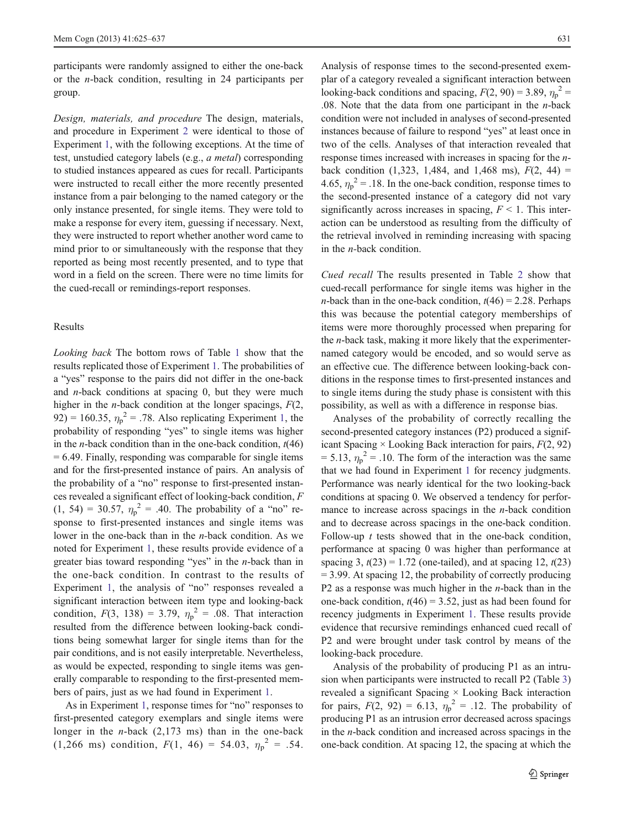participants were randomly assigned to either the one-back or the n-back condition, resulting in 24 participants per group.

Design, materials, and procedure The design, materials, and procedure in Experiment [2](#page-5-0) were identical to those of Experiment [1,](#page-3-0) with the following exceptions. At the time of test, unstudied category labels (e.g., a metal) corresponding to studied instances appeared as cues for recall. Participants were instructed to recall either the more recently presented instance from a pair belonging to the named category or the only instance presented, for single items. They were told to make a response for every item, guessing if necessary. Next, they were instructed to report whether another word came to mind prior to or simultaneously with the response that they reported as being most recently presented, and to type that word in a field on the screen. There were no time limits for the cued-recall or remindings-report responses.

### Results

Looking back The bottom rows of Table [1](#page-4-0) show that the results replicated those of Experiment [1.](#page-3-0) The probabilities of a "yes" response to the pairs did not differ in the one-back and *n*-back conditions at spacing 0, but they were much higher in the *n*-back condition at the longer spacings,  $F(2)$ , 92) = 160.35,  $\eta_p^2$  = .78. Also replicating Experiment [1,](#page-3-0) the probability of responding "yes" to single items was higher in the *n*-back condition than in the one-back condition,  $t(46)$  $= 6.49$ . Finally, responding was comparable for single items and for the first-presented instance of pairs. An analysis of the probability of a "no" response to first-presented instances revealed a significant effect of looking-back condition, F  $(1, 54) = 30.57, \eta_p^2 = .40$ . The probability of a "no" response to first-presented instances and single items was lower in the one-back than in the n-back condition. As we noted for Experiment [1,](#page-3-0) these results provide evidence of a greater bias toward responding "yes" in the n-back than in the one-back condition. In contrast to the results of Experiment [1,](#page-3-0) the analysis of "no" responses revealed a significant interaction between item type and looking-back condition,  $F(3, 138) = 3.79$ ,  $\eta_p^2 = .08$ . That interaction resulted from the difference between looking-back conditions being somewhat larger for single items than for the pair conditions, and is not easily interpretable. Nevertheless, as would be expected, responding to single items was generally comparable to responding to the first-presented members of pairs, just as we had found in Experiment [1](#page-3-0).

As in Experiment [1,](#page-3-0) response times for "no" responses to first-presented category exemplars and single items were longer in the  $n$ -back  $(2,173 \text{ ms})$  than in the one-back  $(1,266 \text{ ms})$  condition,  $F(1, 46) = 54.03$ ,  $\eta_p^2 = .54$ .

Analysis of response times to the second-presented exemplar of a category revealed a significant interaction between looking-back conditions and spacing,  $F(2, 90) = 3.89$ ,  $\eta_p^2 =$ .08. Note that the data from one participant in the  $n$ -back condition were not included in analyses of second-presented instances because of failure to respond "yes" at least once in two of the cells. Analyses of that interaction revealed that response times increased with increases in spacing for the nback condition  $(1,323, 1,484, \text{ and } 1,468 \text{ ms})$ ,  $F(2, 44) =$ 4.65,  $\eta_p^2$  = .18. In the one-back condition, response times to the second-presented instance of a category did not vary significantly across increases in spacing,  $F \leq 1$ . This interaction can be understood as resulting from the difficulty of the retrieval involved in reminding increasing with spacing in the n-back condition.

Cued recall The results presented in Table [2](#page-4-0) show that cued-recall performance for single items was higher in the *n*-back than in the one-back condition,  $t(46) = 2.28$ . Perhaps this was because the potential category memberships of items were more thoroughly processed when preparing for the n-back task, making it more likely that the experimenternamed category would be encoded, and so would serve as an effective cue. The difference between looking-back conditions in the response times to first-presented instances and to single items during the study phase is consistent with this possibility, as well as with a difference in response bias.

Analyses of the probability of correctly recalling the second-presented category instances (P2) produced a significant Spacing  $\times$  Looking Back interaction for pairs,  $F(2, 92)$  $= 5.13$ ,  $\eta_p^2 = .10$ . The form of the interaction was the same that we had found in Experiment [1](#page-3-0) for recency judgments. Performance was nearly identical for the two looking-back conditions at spacing 0. We observed a tendency for performance to increase across spacings in the  $n$ -back condition and to decrease across spacings in the one-back condition. Follow-up  $t$  tests showed that in the one-back condition, performance at spacing 0 was higher than performance at spacing 3,  $t(23) = 1.72$  (one-tailed), and at spacing 12,  $t(23)$  $= 3.99$ . At spacing 12, the probability of correctly producing P2 as a response was much higher in the  $n$ -back than in the one-back condition,  $t(46) = 3.52$ , just as had been found for recency judgments in Experiment [1](#page-3-0). These results provide evidence that recursive remindings enhanced cued recall of P2 and were brought under task control by means of the looking-back procedure.

Analysis of the probability of producing P1 as an intrusion when participants were instructed to recall P2 (Table [3](#page-7-0)) revealed a significant Spacing × Looking Back interaction for pairs,  $F(2, 92) = 6.13$ ,  $\eta_p^2 = 0.12$ . The probability of producing P1 as an intrusion error decreased across spacings in the  $n$ -back condition and increased across spacings in the one-back condition. At spacing 12, the spacing at which the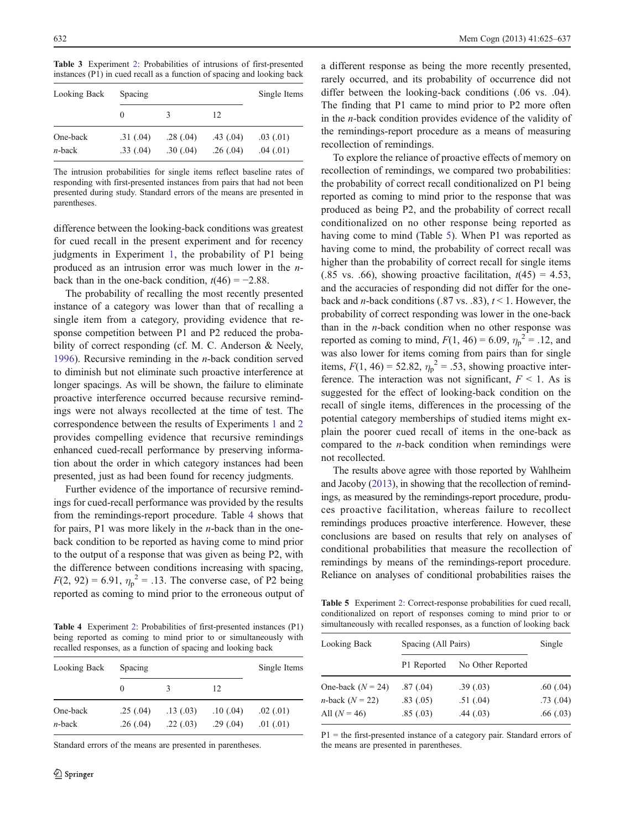<span id="page-7-0"></span>

|  |  |  | <b>Table 3</b> Experiment 2: Probabilities of intrusions of first-presented |
|--|--|--|-----------------------------------------------------------------------------|
|  |  |  | instances (P1) in cued recall as a function of spacing and looking back     |

| Looking Back          | Spacing               | Single Items          |                       |                      |
|-----------------------|-----------------------|-----------------------|-----------------------|----------------------|
|                       | $\theta$              | 3                     | 12.                   |                      |
| One-back<br>$n$ -back | .31(0.04)<br>.33(.04) | .28(0.04)<br>.30(.04) | .43(0.04)<br>.26(.04) | .03(0.01)<br>.04(01) |

The intrusion probabilities for single items reflect baseline rates of responding with first-presented instances from pairs that had not been presented during study. Standard errors of the means are presented in parentheses.

difference between the looking-back conditions was greatest for cued recall in the present experiment and for recency judgments in Experiment [1](#page-3-0), the probability of P1 being produced as an intrusion error was much lower in the nback than in the one-back condition,  $t(46) = -2.88$ .

The probability of recalling the most recently presented instance of a category was lower than that of recalling a single item from a category, providing evidence that response competition between P1 and P2 reduced the probability of correct responding (cf. M. C. Anderson & Neely, [1996\)](#page-12-0). Recursive reminding in the n-back condition served to diminish but not eliminate such proactive interference at longer spacings. As will be shown, the failure to eliminate proactive interference occurred because recursive remindings were not always recollected at the time of test. The correspondence between the results of Experiments [1](#page-3-0) and [2](#page-5-0) provides compelling evidence that recursive remindings enhanced cued-recall performance by preserving information about the order in which category instances had been presented, just as had been found for recency judgments.

Further evidence of the importance of recursive remindings for cued-recall performance was provided by the results from the remindings-report procedure. Table 4 shows that for pairs, P1 was more likely in the  $n$ -back than in the oneback condition to be reported as having come to mind prior to the output of a response that was given as being P2, with the difference between conditions increasing with spacing,  $F(2, 92) = 6.91, \eta_p^2 = .13$ . The converse case, of P2 being reported as coming to mind prior to the erroneous output of

Table 4 Experiment [2:](#page-5-0) Probabilities of first-presented instances (P1) being reported as coming to mind prior to or simultaneously with recalled responses, as a function of spacing and looking back

| Looking Back          | Spacing              | Single Items           |                        |                        |
|-----------------------|----------------------|------------------------|------------------------|------------------------|
|                       | $\theta$             | 3                      | 12.                    |                        |
| One-back<br>$n$ -back | .25(.04)<br>.26(.04) | .13(0.03)<br>.22(0.03) | .10(0.04)<br>.29(0.04) | .02(0.01)<br>.01(0.01) |

Standard errors of the means are presented in parentheses.

a different response as being the more recently presented, rarely occurred, and its probability of occurrence did not differ between the looking-back conditions (.06 vs. .04). The finding that P1 came to mind prior to P2 more often in the n-back condition provides evidence of the validity of the remindings-report procedure as a means of measuring recollection of remindings.

To explore the reliance of proactive effects of memory on recollection of remindings, we compared two probabilities: the probability of correct recall conditionalized on P1 being reported as coming to mind prior to the response that was produced as being P2, and the probability of correct recall conditionalized on no other response being reported as having come to mind (Table 5). When P1 was reported as having come to mind, the probability of correct recall was higher than the probability of correct recall for single items  $(.85 \text{ vs. } .66)$ , showing proactive facilitation,  $t(45) = 4.53$ , and the accuracies of responding did not differ for the oneback and *n*-back conditions (.87 vs. .83),  $t < 1$ . However, the probability of correct responding was lower in the one-back than in the  $n$ -back condition when no other response was reported as coming to mind,  $F(1, 46) = 6.09$ ,  $\eta_p^2 = .12$ , and was also lower for items coming from pairs than for single items,  $F(1, 46) = 52.82$ ,  $\eta_p^2 = .53$ , showing proactive interference. The interaction was not significant,  $F < 1$ . As is suggested for the effect of looking-back condition on the recall of single items, differences in the processing of the potential category memberships of studied items might explain the poorer cued recall of items in the one-back as compared to the n-back condition when remindings were not recollected.

The results above agree with those reported by Wahlheim and Jacoby [\(2013\)](#page-12-0), in showing that the recollection of remindings, as measured by the remindings-report procedure, produces proactive facilitation, whereas failure to recollect remindings produces proactive interference. However, these conclusions are based on results that rely on analyses of conditional probabilities that measure the recollection of remindings by means of the remindings-report procedure. Reliance on analyses of conditional probabilities raises the

Table 5 Experiment [2:](#page-5-0) Correct-response probabilities for cued recall, conditionalized on report of responses coming to mind prior to or simultaneously with recalled responses, as a function of looking back

|             | Single            |                     |
|-------------|-------------------|---------------------|
| P1 Reported | No Other Reported |                     |
| .87(0.04)   | .39(.03)          | .60(0.04)           |
| .83(0.05)   | .51(.04)          | .73(0.04)           |
| .85(.03)    | .44(.03)          | .66(.03)            |
|             |                   | Spacing (All Pairs) |

 $P1$  = the first-presented instance of a category pair. Standard errors of the means are presented in parentheses.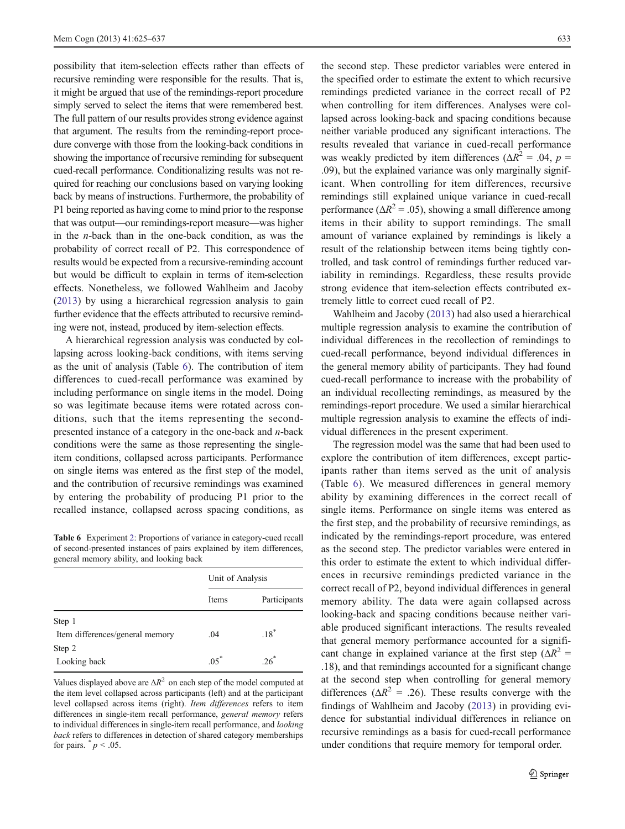possibility that item-selection effects rather than effects of recursive reminding were responsible for the results. That is, it might be argued that use of the remindings-report procedure simply served to select the items that were remembered best. The full pattern of our results provides strong evidence against that argument. The results from the reminding-report procedure converge with those from the looking-back conditions in showing the importance of recursive reminding for subsequent cued-recall performance. Conditionalizing results was not required for reaching our conclusions based on varying looking back by means of instructions. Furthermore, the probability of P1 being reported as having come to mind prior to the response that was output—our remindings-report measure—was higher in the  $n$ -back than in the one-back condition, as was the probability of correct recall of P2. This correspondence of results would be expected from a recursive-reminding account but would be difficult to explain in terms of item-selection effects. Nonetheless, we followed Wahlheim and Jacoby [\(2013\)](#page-12-0) by using a hierarchical regression analysis to gain further evidence that the effects attributed to recursive reminding were not, instead, produced by item-selection effects.

A hierarchical regression analysis was conducted by collapsing across looking-back conditions, with items serving as the unit of analysis (Table 6). The contribution of item differences to cued-recall performance was examined by including performance on single items in the model. Doing so was legitimate because items were rotated across conditions, such that the items representing the secondpresented instance of a category in the one-back and n-back conditions were the same as those representing the singleitem conditions, collapsed across participants. Performance on single items was entered as the first step of the model, and the contribution of recursive remindings was examined by entering the probability of producing P1 prior to the recalled instance, collapsed across spacing conditions, as

Table 6 Experiment [2:](#page-5-0) Proportions of variance in category-cued recall of second-presented instances of pairs explained by item differences, general memory ability, and looking back

|                                 | Unit of Analysis |              |  |
|---------------------------------|------------------|--------------|--|
|                                 | Items            | Participants |  |
| Step 1                          |                  |              |  |
| Item differences/general memory | .04              | $.18*$       |  |
| Step 2                          |                  |              |  |
| Looking back                    | $.05*$           | $26*$        |  |

Values displayed above are  $\Delta R^2$  on each step of the model computed at the item level collapsed across participants (left) and at the participant level collapsed across items (right). Item differences refers to item differences in single-item recall performance, general memory refers to individual differences in single-item recall performance, and looking back refers to differences in detection of shared category memberships for pairs.  $p < .05$ .

the second step. These predictor variables were entered in the specified order to estimate the extent to which recursive remindings predicted variance in the correct recall of P2 when controlling for item differences. Analyses were collapsed across looking-back and spacing conditions because neither variable produced any significant interactions. The results revealed that variance in cued-recall performance was weakly predicted by item differences ( $\Delta R^2 = .04$ ,  $p =$ .09), but the explained variance was only marginally significant. When controlling for item differences, recursive remindings still explained unique variance in cued-recall performance ( $\Delta R^2$  = .05), showing a small difference among items in their ability to support remindings. The small amount of variance explained by remindings is likely a result of the relationship between items being tightly controlled, and task control of remindings further reduced variability in remindings. Regardless, these results provide strong evidence that item-selection effects contributed extremely little to correct cued recall of P2.

Wahlheim and Jacoby [\(2013](#page-12-0)) had also used a hierarchical multiple regression analysis to examine the contribution of individual differences in the recollection of remindings to cued-recall performance, beyond individual differences in the general memory ability of participants. They had found cued-recall performance to increase with the probability of an individual recollecting remindings, as measured by the remindings-report procedure. We used a similar hierarchical multiple regression analysis to examine the effects of individual differences in the present experiment.

The regression model was the same that had been used to explore the contribution of item differences, except participants rather than items served as the unit of analysis (Table 6). We measured differences in general memory ability by examining differences in the correct recall of single items. Performance on single items was entered as the first step, and the probability of recursive remindings, as indicated by the remindings-report procedure, was entered as the second step. The predictor variables were entered in this order to estimate the extent to which individual differences in recursive remindings predicted variance in the correct recall of P2, beyond individual differences in general memory ability. The data were again collapsed across looking-back and spacing conditions because neither variable produced significant interactions. The results revealed that general memory performance accounted for a significant change in explained variance at the first step ( $\Delta R^2$  = .18), and that remindings accounted for a significant change at the second step when controlling for general memory differences ( $\Delta R^2$  = .26). These results converge with the findings of Wahlheim and Jacoby [\(2013](#page-12-0)) in providing evidence for substantial individual differences in reliance on recursive remindings as a basis for cued-recall performance under conditions that require memory for temporal order.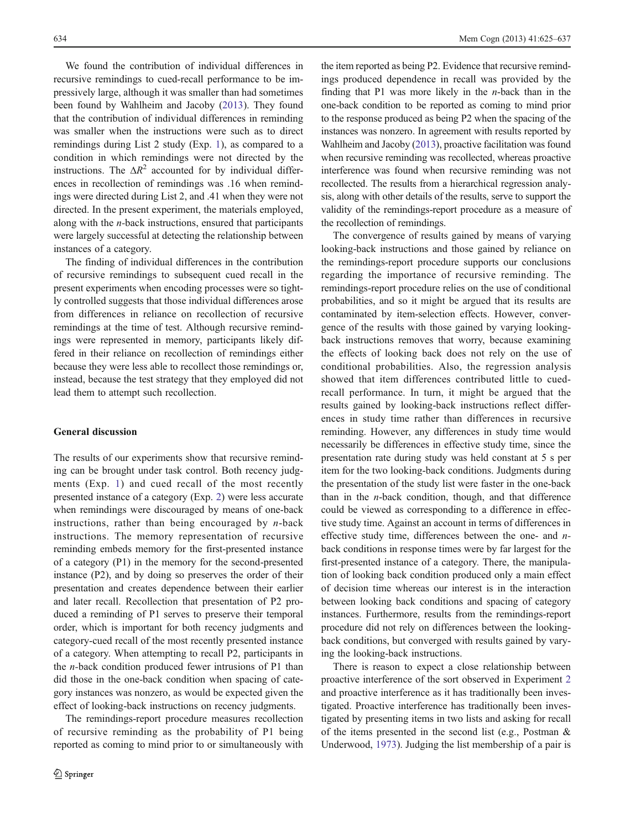<span id="page-9-0"></span>We found the contribution of individual differences in recursive remindings to cued-recall performance to be impressively large, although it was smaller than had sometimes been found by Wahlheim and Jacoby [\(2013\)](#page-12-0). They found that the contribution of individual differences in reminding was smaller when the instructions were such as to direct remindings during List 2 study (Exp. [1](#page-3-0)), as compared to a condition in which remindings were not directed by the instructions. The  $\Delta R^2$  accounted for by individual differences in recollection of remindings was .16 when remindings were directed during List 2, and .41 when they were not directed. In the present experiment, the materials employed, along with the  $n$ -back instructions, ensured that participants were largely successful at detecting the relationship between instances of a category.

The finding of individual differences in the contribution of recursive remindings to subsequent cued recall in the present experiments when encoding processes were so tightly controlled suggests that those individual differences arose from differences in reliance on recollection of recursive remindings at the time of test. Although recursive remindings were represented in memory, participants likely differed in their reliance on recollection of remindings either because they were less able to recollect those remindings or, instead, because the test strategy that they employed did not lead them to attempt such recollection.

#### General discussion

The results of our experiments show that recursive reminding can be brought under task control. Both recency judgments (Exp. [1](#page-3-0)) and cued recall of the most recently presented instance of a category (Exp. [2](#page-5-0)) were less accurate when remindings were discouraged by means of one-back instructions, rather than being encouraged by  $n$ -back instructions. The memory representation of recursive reminding embeds memory for the first-presented instance of a category (P1) in the memory for the second-presented instance (P2), and by doing so preserves the order of their presentation and creates dependence between their earlier and later recall. Recollection that presentation of P2 produced a reminding of P1 serves to preserve their temporal order, which is important for both recency judgments and category-cued recall of the most recently presented instance of a category. When attempting to recall P2, participants in the n-back condition produced fewer intrusions of P1 than did those in the one-back condition when spacing of category instances was nonzero, as would be expected given the effect of looking-back instructions on recency judgments.

The remindings-report procedure measures recollection of recursive reminding as the probability of P1 being reported as coming to mind prior to or simultaneously with

the item reported as being P2. Evidence that recursive remindings produced dependence in recall was provided by the finding that P1 was more likely in the  $n$ -back than in the one-back condition to be reported as coming to mind prior to the response produced as being P2 when the spacing of the instances was nonzero. In agreement with results reported by Wahlheim and Jacoby [\(2013\)](#page-12-0), proactive facilitation was found when recursive reminding was recollected, whereas proactive interference was found when recursive reminding was not recollected. The results from a hierarchical regression analysis, along with other details of the results, serve to support the validity of the remindings-report procedure as a measure of the recollection of remindings.

The convergence of results gained by means of varying looking-back instructions and those gained by reliance on the remindings-report procedure supports our conclusions regarding the importance of recursive reminding. The remindings-report procedure relies on the use of conditional probabilities, and so it might be argued that its results are contaminated by item-selection effects. However, convergence of the results with those gained by varying lookingback instructions removes that worry, because examining the effects of looking back does not rely on the use of conditional probabilities. Also, the regression analysis showed that item differences contributed little to cuedrecall performance. In turn, it might be argued that the results gained by looking-back instructions reflect differences in study time rather than differences in recursive reminding. However, any differences in study time would necessarily be differences in effective study time, since the presentation rate during study was held constant at 5 s per item for the two looking-back conditions. Judgments during the presentation of the study list were faster in the one-back than in the n-back condition, though, and that difference could be viewed as corresponding to a difference in effective study time. Against an account in terms of differences in effective study time, differences between the one- and nback conditions in response times were by far largest for the first-presented instance of a category. There, the manipulation of looking back condition produced only a main effect of decision time whereas our interest is in the interaction between looking back conditions and spacing of category instances. Furthermore, results from the remindings-report procedure did not rely on differences between the lookingback conditions, but converged with results gained by varying the looking-back instructions.

There is reason to expect a close relationship between proactive interference of the sort observed in Experiment [2](#page-5-0) and proactive interference as it has traditionally been investigated. Proactive interference has traditionally been investigated by presenting items in two lists and asking for recall of the items presented in the second list (e.g., Postman & Underwood, [1973](#page-12-0)). Judging the list membership of a pair is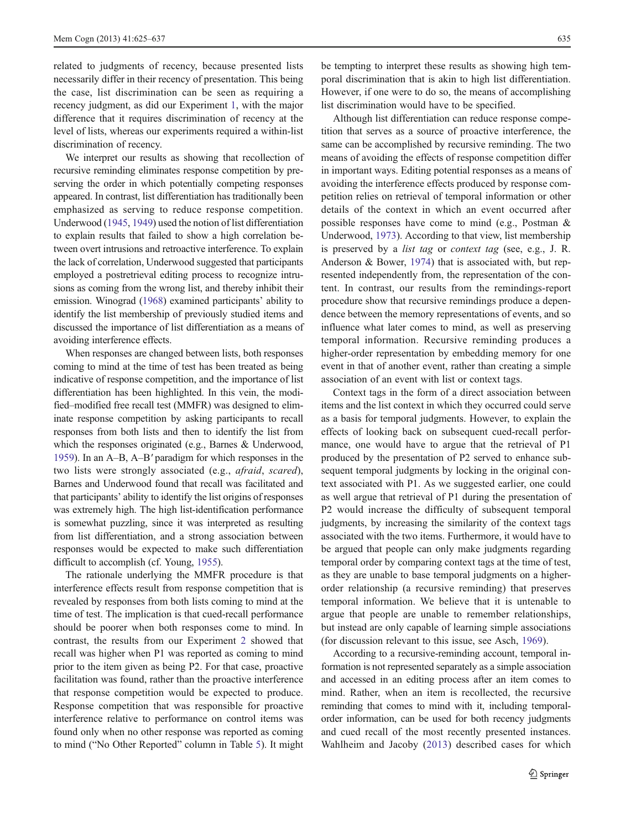related to judgments of recency, because presented lists necessarily differ in their recency of presentation. This being the case, list discrimination can be seen as requiring a recency judgment, as did our Experiment [1,](#page-3-0) with the major difference that it requires discrimination of recency at the level of lists, whereas our experiments required a within-list discrimination of recency.

We interpret our results as showing that recollection of recursive reminding eliminates response competition by preserving the order in which potentially competing responses appeared. In contrast, list differentiation has traditionally been emphasized as serving to reduce response competition. Underwood [\(1945,](#page-12-0) [1949\)](#page-12-0) used the notion of list differentiation to explain results that failed to show a high correlation between overt intrusions and retroactive interference. To explain the lack of correlation, Underwood suggested that participants employed a postretrieval editing process to recognize intrusions as coming from the wrong list, and thereby inhibit their emission. Winograd ([1968](#page-12-0)) examined participants' ability to identify the list membership of previously studied items and discussed the importance of list differentiation as a means of avoiding interference effects.

When responses are changed between lists, both responses coming to mind at the time of test has been treated as being indicative of response competition, and the importance of list differentiation has been highlighted. In this vein, the modified–modified free recall test (MMFR) was designed to eliminate response competition by asking participants to recall responses from both lists and then to identify the list from which the responses originated (e.g., Barnes & Underwood, [1959\)](#page-12-0). In an A–B, A–B' paradigm for which responses in the two lists were strongly associated (e.g., afraid, scared), Barnes and Underwood found that recall was facilitated and that participants' ability to identify the list origins of responses was extremely high. The high list-identification performance is somewhat puzzling, since it was interpreted as resulting from list differentiation, and a strong association between responses would be expected to make such differentiation difficult to accomplish (cf. Young, [1955](#page-12-0)).

The rationale underlying the MMFR procedure is that interference effects result from response competition that is revealed by responses from both lists coming to mind at the time of test. The implication is that cued-recall performance should be poorer when both responses come to mind. In contrast, the results from our Experiment [2](#page-5-0) showed that recall was higher when P1 was reported as coming to mind prior to the item given as being P2. For that case, proactive facilitation was found, rather than the proactive interference that response competition would be expected to produce. Response competition that was responsible for proactive interference relative to performance on control items was found only when no other response was reported as coming to mind ("No Other Reported" column in Table [5\)](#page-7-0). It might be tempting to interpret these results as showing high temporal discrimination that is akin to high list differentiation. However, if one were to do so, the means of accomplishing list discrimination would have to be specified.

Although list differentiation can reduce response competition that serves as a source of proactive interference, the same can be accomplished by recursive reminding. The two means of avoiding the effects of response competition differ in important ways. Editing potential responses as a means of avoiding the interference effects produced by response competition relies on retrieval of temporal information or other details of the context in which an event occurred after possible responses have come to mind (e.g., Postman & Underwood, [1973\)](#page-12-0). According to that view, list membership is preserved by a list tag or context tag (see, e.g., J. R. Anderson & Bower, [1974\)](#page-12-0) that is associated with, but represented independently from, the representation of the content. In contrast, our results from the remindings-report procedure show that recursive remindings produce a dependence between the memory representations of events, and so influence what later comes to mind, as well as preserving temporal information. Recursive reminding produces a higher-order representation by embedding memory for one event in that of another event, rather than creating a simple association of an event with list or context tags.

Context tags in the form of a direct association between items and the list context in which they occurred could serve as a basis for temporal judgments. However, to explain the effects of looking back on subsequent cued-recall performance, one would have to argue that the retrieval of P1 produced by the presentation of P2 served to enhance subsequent temporal judgments by locking in the original context associated with P1. As we suggested earlier, one could as well argue that retrieval of P1 during the presentation of P2 would increase the difficulty of subsequent temporal judgments, by increasing the similarity of the context tags associated with the two items. Furthermore, it would have to be argued that people can only make judgments regarding temporal order by comparing context tags at the time of test, as they are unable to base temporal judgments on a higherorder relationship (a recursive reminding) that preserves temporal information. We believe that it is untenable to argue that people are unable to remember relationships, but instead are only capable of learning simple associations (for discussion relevant to this issue, see Asch, [1969](#page-12-0)).

According to a recursive-reminding account, temporal information is not represented separately as a simple association and accessed in an editing process after an item comes to mind. Rather, when an item is recollected, the recursive reminding that comes to mind with it, including temporalorder information, can be used for both recency judgments and cued recall of the most recently presented instances. Wahlheim and Jacoby ([2013](#page-12-0)) described cases for which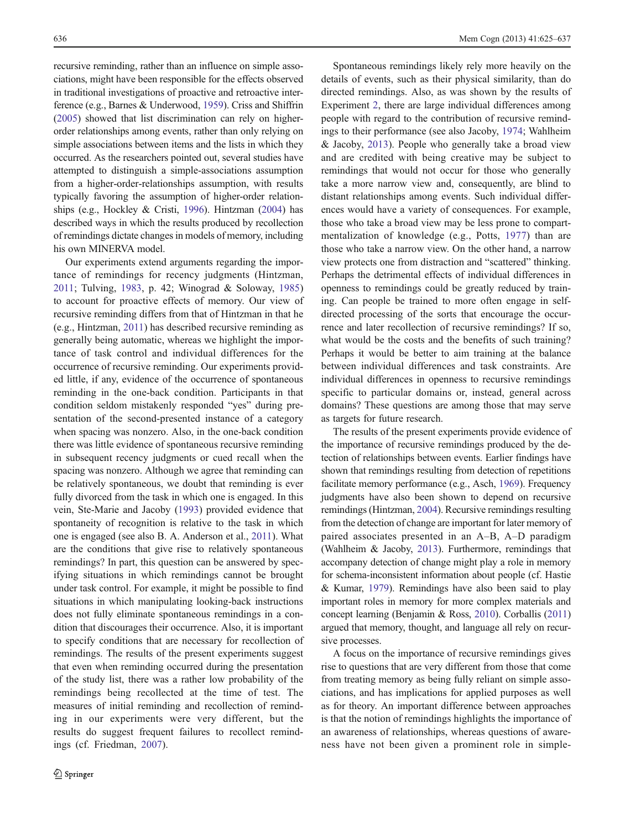recursive reminding, rather than an influence on simple associations, might have been responsible for the effects observed in traditional investigations of proactive and retroactive interference (e.g., Barnes & Underwood, [1959\)](#page-12-0). Criss and Shiffrin [\(2005\)](#page-12-0) showed that list discrimination can rely on higherorder relationships among events, rather than only relying on simple associations between items and the lists in which they occurred. As the researchers pointed out, several studies have attempted to distinguish a simple-associations assumption from a higher-order-relationships assumption, with results typically favoring the assumption of higher-order relationships (e.g., Hockley & Cristi, [1996](#page-12-0)). Hintzman [\(2004\)](#page-12-0) has described ways in which the results produced by recollection of remindings dictate changes in models of memory, including his own MINERVA model.

Our experiments extend arguments regarding the importance of remindings for recency judgments (Hintzman, [2011;](#page-12-0) Tulving, [1983](#page-12-0), p. 42; Winograd & Soloway, [1985\)](#page-12-0) to account for proactive effects of memory. Our view of recursive reminding differs from that of Hintzman in that he (e.g., Hintzman, [2011](#page-12-0)) has described recursive reminding as generally being automatic, whereas we highlight the importance of task control and individual differences for the occurrence of recursive reminding. Our experiments provided little, if any, evidence of the occurrence of spontaneous reminding in the one-back condition. Participants in that condition seldom mistakenly responded "yes" during presentation of the second-presented instance of a category when spacing was nonzero. Also, in the one-back condition there was little evidence of spontaneous recursive reminding in subsequent recency judgments or cued recall when the spacing was nonzero. Although we agree that reminding can be relatively spontaneous, we doubt that reminding is ever fully divorced from the task in which one is engaged. In this vein, Ste-Marie and Jacoby ([1993\)](#page-12-0) provided evidence that spontaneity of recognition is relative to the task in which one is engaged (see also B. A. Anderson et al., [2011](#page-12-0)). What are the conditions that give rise to relatively spontaneous remindings? In part, this question can be answered by specifying situations in which remindings cannot be brought under task control. For example, it might be possible to find situations in which manipulating looking-back instructions does not fully eliminate spontaneous remindings in a condition that discourages their occurrence. Also, it is important to specify conditions that are necessary for recollection of remindings. The results of the present experiments suggest that even when reminding occurred during the presentation of the study list, there was a rather low probability of the remindings being recollected at the time of test. The measures of initial reminding and recollection of reminding in our experiments were very different, but the results do suggest frequent failures to recollect remindings (cf. Friedman, [2007\)](#page-12-0).

Spontaneous remindings likely rely more heavily on the details of events, such as their physical similarity, than do directed remindings. Also, as was shown by the results of Experiment [2](#page-5-0), there are large individual differences among people with regard to the contribution of recursive remindings to their performance (see also Jacoby, [1974](#page-12-0); Wahlheim & Jacoby, [2013](#page-12-0)). People who generally take a broad view and are credited with being creative may be subject to remindings that would not occur for those who generally take a more narrow view and, consequently, are blind to distant relationships among events. Such individual differences would have a variety of consequences. For example, those who take a broad view may be less prone to compartmentalization of knowledge (e.g., Potts, [1977\)](#page-12-0) than are those who take a narrow view. On the other hand, a narrow view protects one from distraction and "scattered" thinking. Perhaps the detrimental effects of individual differences in openness to remindings could be greatly reduced by training. Can people be trained to more often engage in selfdirected processing of the sorts that encourage the occurrence and later recollection of recursive remindings? If so, what would be the costs and the benefits of such training? Perhaps it would be better to aim training at the balance between individual differences and task constraints. Are individual differences in openness to recursive remindings specific to particular domains or, instead, general across domains? These questions are among those that may serve as targets for future research.

The results of the present experiments provide evidence of the importance of recursive remindings produced by the detection of relationships between events. Earlier findings have shown that remindings resulting from detection of repetitions facilitate memory performance (e.g., Asch, [1969](#page-12-0)). Frequency judgments have also been shown to depend on recursive remindings (Hintzman, [2004\)](#page-12-0). Recursive remindings resulting from the detection of change are important for later memory of paired associates presented in an A–B, A–D paradigm (Wahlheim & Jacoby, [2013](#page-12-0)). Furthermore, remindings that accompany detection of change might play a role in memory for schema-inconsistent information about people (cf. Hastie & Kumar, [1979\)](#page-12-0). Remindings have also been said to play important roles in memory for more complex materials and concept learning (Benjamin & Ross, [2010\)](#page-12-0). Corballis ([2011](#page-12-0)) argued that memory, thought, and language all rely on recursive processes.

A focus on the importance of recursive remindings gives rise to questions that are very different from those that come from treating memory as being fully reliant on simple associations, and has implications for applied purposes as well as for theory. An important difference between approaches is that the notion of remindings highlights the importance of an awareness of relationships, whereas questions of awareness have not been given a prominent role in simple-